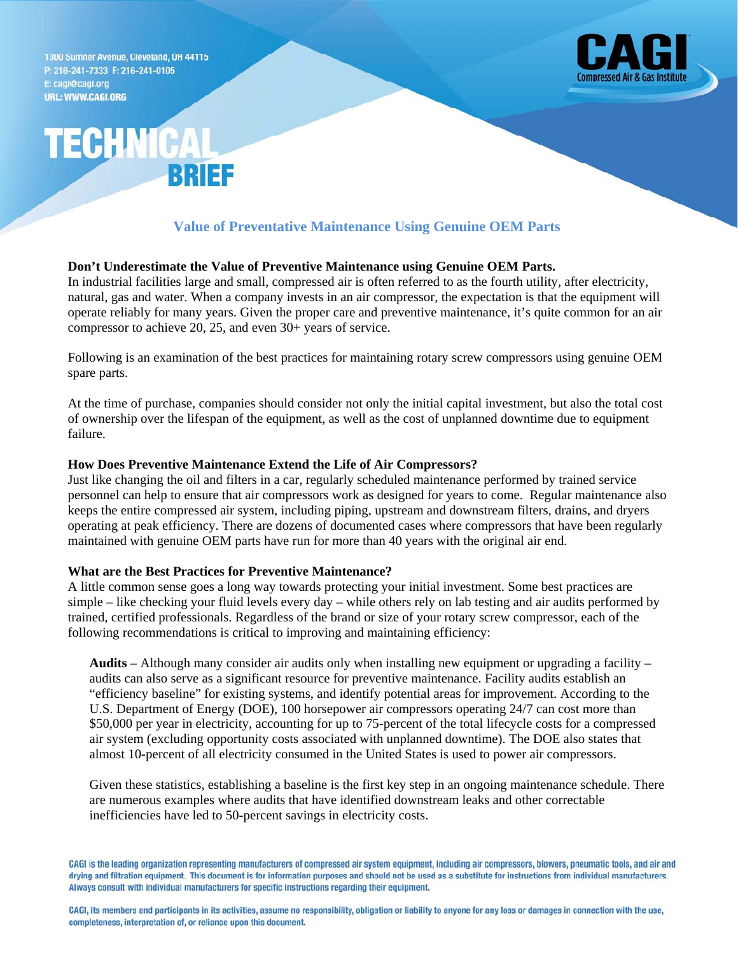1300 Sumner Avenue, Cleveland, OH 44115 P: 216-241-7333 F: 216-241-0105 E: cagi@cagi.org **URL: WWW.CAGI.ORG** 



# **TECHNICA** RRIEE

# **Value of Preventative Maintenance Using Genuine OEM Parts**

## **Don't Underestimate the Value of Preventive Maintenance using Genuine OEM Parts.**

In industrial facilities large and small, compressed air is often referred to as the fourth utility, after electricity, natural, gas and water. When a company invests in an air compressor, the expectation is that the equipment will operate reliably for many years. Given the proper care and preventive maintenance, it's quite common for an air compressor to achieve 20, 25, and even 30+ years of service.

Following is an examination of the best practices for maintaining rotary screw compressors using genuine OEM spare parts.

At the time of purchase, companies should consider not only the initial capital investment, but also the total cost of ownership over the lifespan of the equipment, as well as the cost of unplanned downtime due to equipment failure.

## **How Does Preventive Maintenance Extend the Life of Air Compressors?**

Just like changing the oil and filters in a car, regularly scheduled maintenance performed by trained service personnel can help to ensure that air compressors work as designed for years to come. Regular maintenance also keeps the entire compressed air system, including piping, upstream and downstream filters, drains, and dryers operating at peak efficiency. There are dozens of documented cases where compressors that have been regularly maintained with genuine OEM parts have run for more than 40 years with the original air end.

#### **What are the Best Practices for Preventive Maintenance?**

A little common sense goes a long way towards protecting your initial investment. Some best practices are simple – like checking your fluid levels every day – while others rely on lab testing and air audits performed by trained, certified professionals. Regardless of the brand or size of your rotary screw compressor, each of the following recommendations is critical to improving and maintaining efficiency:

**Audits** – Although many consider air audits only when installing new equipment or upgrading a facility – audits can also serve as a significant resource for preventive maintenance. Facility audits establish an "efficiency baseline" for existing systems, and identify potential areas for improvement. According to the U.S. Department of Energy (DOE), 100 horsepower air compressors operating 24/7 can cost more than \$50,000 per year in electricity, accounting for up to 75-percent of the total lifecycle costs for a compressed air system (excluding opportunity costs associated with unplanned downtime). The DOE also states that almost 10-percent of all electricity consumed in the United States is used to power air compressors.

Given these statistics, establishing a baseline is the first key step in an ongoing maintenance schedule. There are numerous examples where audits that have identified downstream leaks and other correctable inefficiencies have led to 50-percent savings in electricity costs.

CAGI is the leading organization representing manufacturers of compressed air system equipment, including air compressors, blowers, pneumatic tools, and air and drying and filtration equipment. This document is for information purposes and should not be used as a substitute for instructions from individual manufacturers. Always consult with individual manufacturers for specific instructions regarding their equipment.

CAGI, its members and participants in its activities, assume no responsibility, obligation or liability to anyone for any loss or damages in connection with the use, completeness, interpretation of, or reliance upon this document.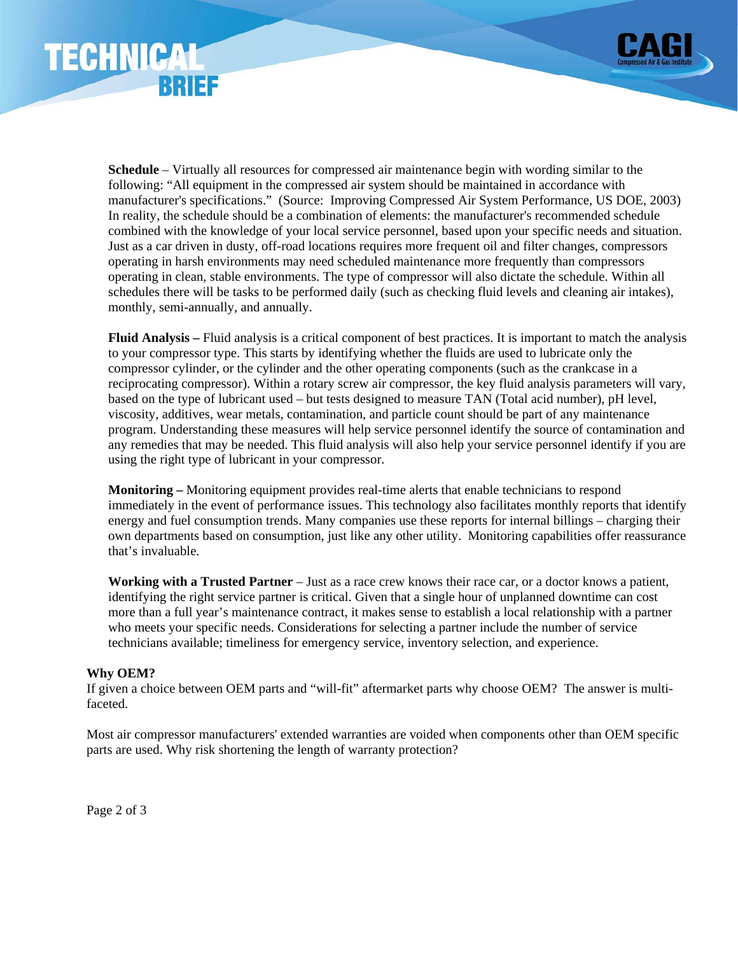



**Schedule** – Virtually all resources for compressed air maintenance begin with wording similar to the following: "All equipment in the compressed air system should be maintained in accordance with manufacturer's specifications." (Source: Improving Compressed Air System Performance, US DOE, 2003) In reality, the schedule should be a combination of elements: the manufacturer's recommended schedule combined with the knowledge of your local service personnel, based upon your specific needs and situation. Just as a car driven in dusty, off-road locations requires more frequent oil and filter changes, compressors operating in harsh environments may need scheduled maintenance more frequently than compressors operating in clean, stable environments. The type of compressor will also dictate the schedule. Within all schedules there will be tasks to be performed daily (such as checking fluid levels and cleaning air intakes), monthly, semi-annually, and annually.

**Fluid Analysis –** Fluid analysis is a critical component of best practices. It is important to match the analysis to your compressor type. This starts by identifying whether the fluids are used to lubricate only the compressor cylinder, or the cylinder and the other operating components (such as the crankcase in a reciprocating compressor). Within a rotary screw air compressor, the key fluid analysis parameters will vary, based on the type of lubricant used – but tests designed to measure TAN (Total acid number), pH level, viscosity, additives, wear metals, contamination, and particle count should be part of any maintenance program. Understanding these measures will help service personnel identify the source of contamination and any remedies that may be needed. This fluid analysis will also help your service personnel identify if you are using the right type of lubricant in your compressor.

**Monitoring –** Monitoring equipment provides real-time alerts that enable technicians to respond immediately in the event of performance issues. This technology also facilitates monthly reports that identify energy and fuel consumption trends. Many companies use these reports for internal billings – charging their own departments based on consumption, just like any other utility. Monitoring capabilities offer reassurance that's invaluable.

**Working with a Trusted Partner** – Just as a race crew knows their race car, or a doctor knows a patient, identifying the right service partner is critical. Given that a single hour of unplanned downtime can cost more than a full year's maintenance contract, it makes sense to establish a local relationship with a partner who meets your specific needs. Considerations for selecting a partner include the number of service technicians available; timeliness for emergency service, inventory selection, and experience.

## **Why OEM?**

If given a choice between OEM parts and "will-fit" aftermarket parts why choose OEM? The answer is multifaceted.

Most air compressor manufacturers' extended warranties are voided when components other than OEM specific parts are used. Why risk shortening the length of warranty protection?

Page 2 of 3